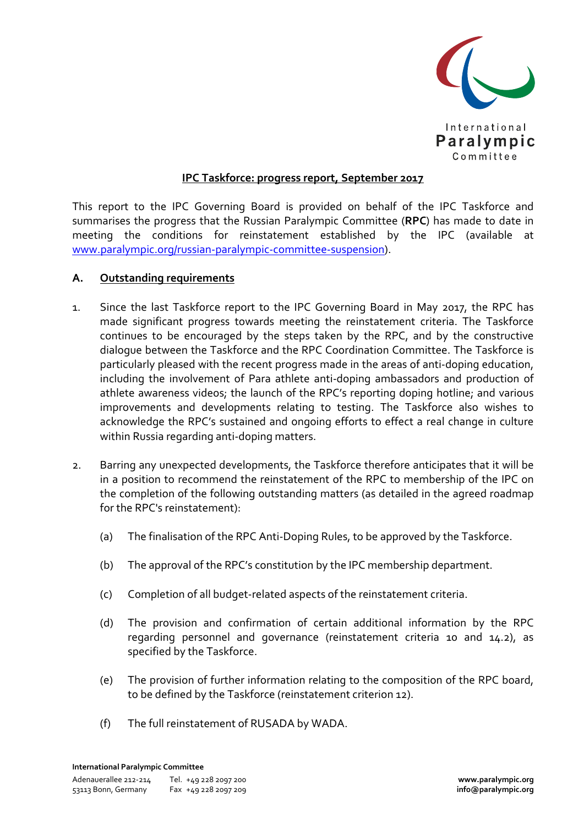

## **IPC Taskforce: progress report, September 2017**

This report to the IPC Governing Board is provided on behalf of the IPC Taskforce and summarises the progress that the Russian Paralympic Committee (**RPC**) has made to date in meeting the conditions for reinstatement established by the IPC (available at www.paralympic.org/russian-paralympic-committee-suspension).

## **A. Outstanding requirements**

- 1. Since the last Taskforce report to the IPC Governing Board in May 2017, the RPC has made significant progress towards meeting the reinstatement criteria. The Taskforce continues to be encouraged by the steps taken by the RPC, and by the constructive dialogue between the Taskforce and the RPC Coordination Committee. The Taskforce is particularly pleased with the recent progress made in the areas of anti-doping education, including the involvement of Para athlete anti-doping ambassadors and production of athlete awareness videos; the launch of the RPC's reporting doping hotline; and various improvements and developments relating to testing. The Taskforce also wishes to acknowledge the RPC's sustained and ongoing efforts to effect a real change in culture within Russia regarding anti-doping matters.
- 2. Barring any unexpected developments, the Taskforce therefore anticipates that it will be in a position to recommend the reinstatement of the RPC to membership of the IPC on the completion of the following outstanding matters (as detailed in the agreed roadmap for the RPC's reinstatement):
	- (a) The finalisation of the RPC Anti-Doping Rules, to be approved by the Taskforce.
	- (b) The approval of the RPC's constitution by the IPC membership department.
	- (c) Completion of all budget-related aspects of the reinstatement criteria.
	- (d) The provision and confirmation of certain additional information by the RPC regarding personnel and governance (reinstatement criteria 10 and 14.2), as specified by the Taskforce.
	- (e) The provision of further information relating to the composition of the RPC board, to be defined by the Taskforce (reinstatement criterion 12).
	- (f) The full reinstatement of RUSADA by WADA.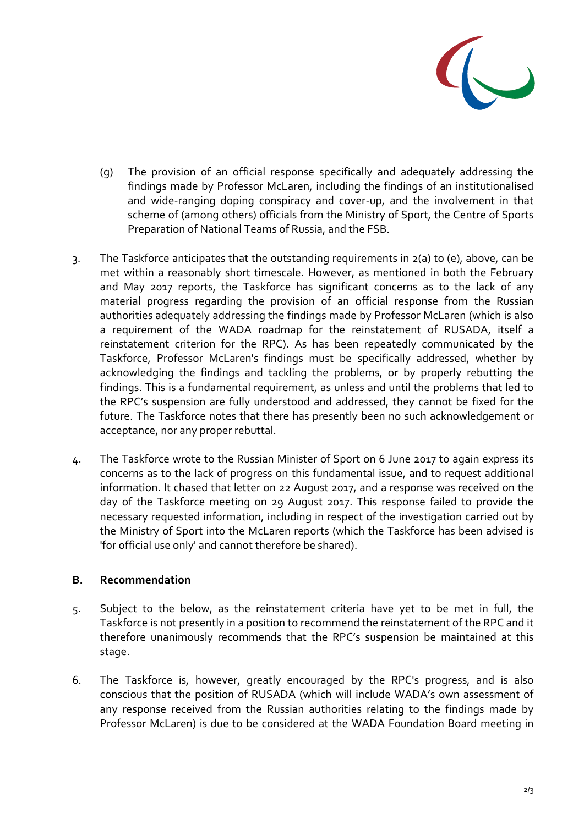

- (g) The provision of an official response specifically and adequately addressing the findings made by Professor McLaren, including the findings of an institutionalised and wide-ranging doping conspiracy and cover-up, and the involvement in that scheme of (among others) officials from the Ministry of Sport, the Centre of Sports Preparation of National Teams of Russia, and the FSB.
- 3. The Taskforce anticipates that the outstanding requirements in 2(a) to (e), above, can be met within a reasonably short timescale. However, as mentioned in both the February and May 2017 reports, the Taskforce has significant concerns as to the lack of any material progress regarding the provision of an official response from the Russian authorities adequately addressing the findings made by Professor McLaren (which is also a requirement of the WADA roadmap for the reinstatement of RUSADA, itself a reinstatement criterion for the RPC). As has been repeatedly communicated by the Taskforce, Professor McLaren's findings must be specifically addressed, whether by acknowledging the findings and tackling the problems, or by properly rebutting the findings. This is a fundamental requirement, as unless and until the problems that led to the RPC's suspension are fully understood and addressed, they cannot be fixed for the future. The Taskforce notes that there has presently been no such acknowledgement or acceptance, nor any proper rebuttal.
- 4. The Taskforce wrote to the Russian Minister of Sport on 6 June 2017 to again express its concerns as to the lack of progress on this fundamental issue, and to request additional information. It chased that letter on 22 August 2017, and a response was received on the day of the Taskforce meeting on 29 August 2017. This response failed to provide the necessary requested information, including in respect of the investigation carried out by the Ministry of Sport into the McLaren reports (which the Taskforce has been advised is 'for official use only' and cannot therefore be shared).

## **B. Recommendation**

- 5. Subject to the below, as the reinstatement criteria have yet to be met in full, the Taskforce is not presently in a position to recommend the reinstatement of the RPC and it therefore unanimously recommends that the RPC's suspension be maintained at this stage.
- 6. The Taskforce is, however, greatly encouraged by the RPC's progress, and is also conscious that the position of RUSADA (which will include WADA's own assessment of any response received from the Russian authorities relating to the findings made by Professor McLaren) is due to be considered at the WADA Foundation Board meeting in